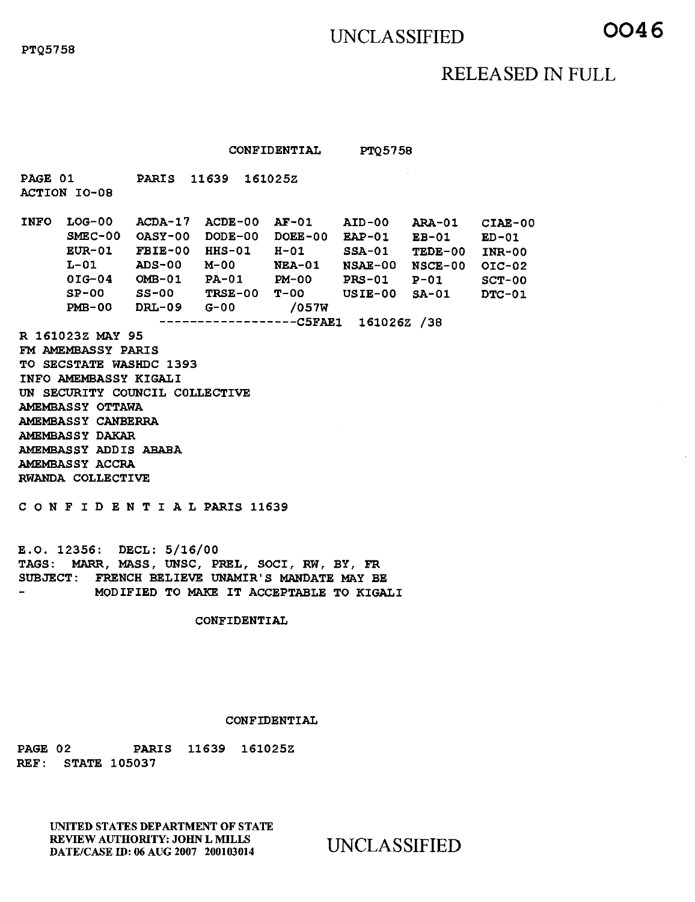# UNCLASSIFIED **0046**

## RELEASED IN FULL

CONFIDENTIAL PTQ5758

PARIS 11639 161025Z ACDA-17 ACDE-00 AF-01 AID-00 ARA-01 CIAE-00 OASY-00 DODE-00 DOEE-00 EAP-01 EB-01 ED-01 SMEC-00 FBIE-00 HHS-01 H-01 SSA-01 TEDE-00 INR-00 ADS-00 M-00 NEA-01 NSAE-00 NSCE-00 OIC-02 OMB-01 PA-01 PM-00 PRS-01 P-01 SCT-00 SS-00 TRSE-00 T-00 USIE-00 SA-01 DTC-01 DRL-09 G-00 /057W -----------------C5FAE1 161026Z /38 PAGE 01 ACTION 10-08 INFO LOG-00 EUR-01  $L-01$ 01G-04 SP-00 PMB-00 R 161023Z MAY 95 FM AMEMBASSY PARIS TO SECSTATE WASHDC 1393 INFO AMEMBASSY KIGALI UN SECURITY COUNCIL COLLECTIVE AMEMBASSY OTTAWA AMEMBASSY CANBERRA AMEMBASSY DAKAR AMEMBASSY ADDIS ABABA AMEMBASSY ACCRA RWANDA COLLECTIVE CONFIDENTIALPARIS 11639

E.O. 12356: DECL: 5/16/00 TAGS: MARR, MASS, UNSC, PREL, SOCI, RW, BY, FR SUBJECT: FRENCH BELIEVE UNAMIR'S MANDATE MAY BE MODIFIED TO MAKE IT ACCEPTABLE TO KIGALI

CONFIDENTIAL

### CONFIDENTIAL

PAGE 02 PARIS 11639 161025Z REF: STATE 105037

> UNITED STATES DEPARTMENT OF STATE REVIEW AUTHORITY: JOHN L MILLS DATE/CASE ID: 06 AUG 2007 200103014 UNCLASSIFIED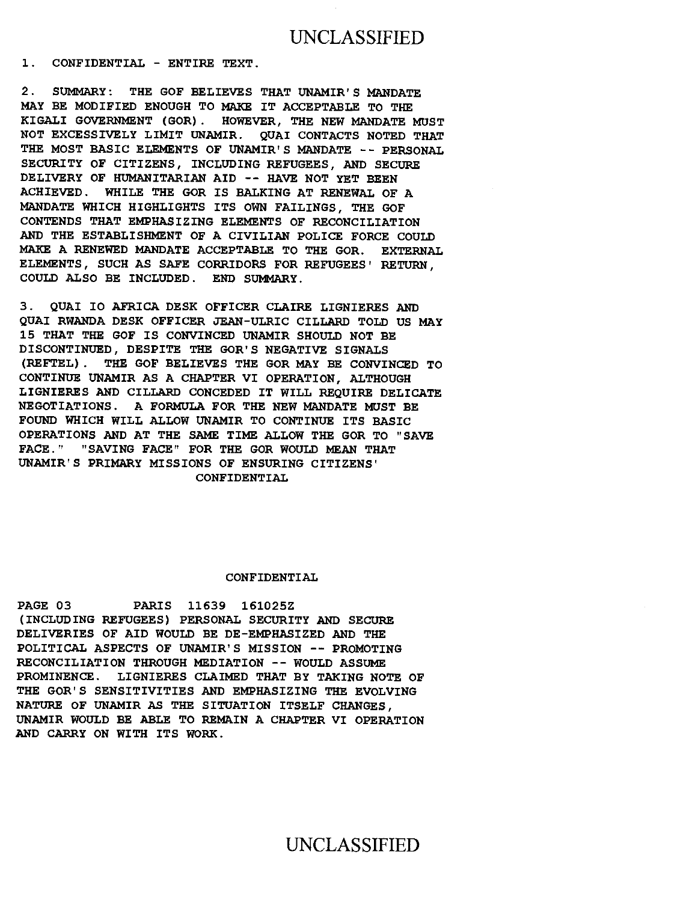1. CONFIDENTIAL - ENTIRE TEXT.

2. SUMMARY: THE GOF BELIEVES THAT UNAMIR'S MANDATE MAY BE MODIFIED ENOUGH TO MAKE IT ACCEPTABLE TO THE KIGALI GOVERNMENT (GOR). HOWEVER, THE NEW MANDATE MUST NOT EXCESSIVELY LIMIT UNAMIR. QUAI CONTACTS NOTED THAT THE MOST BASIC ELEMENTS OF UNAMIR'S MANDATE -- PERSONAL SECURITY OF CITIZENS, INCLUDING REFUGEES, AND SECURE DELIVERY OF HUMANITARIAN AID -- HAVE NOT YET BEEN ACHIEVED. WHILE THE GOR IS BALKING AT RENEWAL OF A MANDATE WHICH HIGHLIGHTS ITS OWN FAILINGS, THE GOF CONTENDS THAT EMPHASIZING ELEMENTS OF RECONCILIATION AND THE ESTABLISHMENT OF A CIVILIAN POLICE FORCE COULD MAKE A RENEWED MANDATE ACCEPTABLE TO THE GOR. EXTERNAL ELEMENTS, SUCH AS SAFE CORRIDORS FOR REFUGEES' RETURN, COULD ALSO BE INCLUDED. END SUMMARY.

3. QUAI IO AFRICA DESK OFFICER CLAIRE LIGNIERES AND QUAI RWANDA DESK OFFICER JEAN-ULRIC CILLARD TOLD US MAY 15 THAT THE GOF IS CONVINCED UNAMIR SHOULD NOT BE DISCONTINUED, DESPITE THE GOR'S NEGATIVE SIGNALS (REFTEL). THE GOF BELIEVES THE GOR MAY BE CONVINCED TO CONTINUE UNAMIR AS A CHAPTER VI OPERATION, ALTHOUGH LIGNIERES AND CILLARD CONCEDED IT WILL REQUIRE DELICATE NEGOTIATIONS. A FORMULA FOR THE NEW MANDATE MUST BE FOUND WHICH WILL ALLOW UNAMIR TO CONTINUE ITS BASIC OPERATIONS AND AT THE SAME TIME ALLOW THE GOR TO "SAVE FACE." "SAVING FACE" FOR THE GOR WOULD MEAN THAT UNAMIR'S PRIMARY MISSIONS OF ENSURING CITIZENS' CONFIDENTIAL

#### CONFIDENTIAL

PAGE 03 PARIS 11639 161025Z (INCLUDING REFUGEES) PERSONAL SECURITY AND SECURE DELIVERIES OF AID WOULD BE DE-EMPHASIZED AND THE POLITICAL ASPECTS OF UNAMIR'S MISSION -- PROMOTING RECONCILIATION THROUGH MEDIATION -- WOULD ASSUME PROMINENCE. LIGNIERES CLAIMED THAT BY TAKING NOTE OF THE GOR'S SENSITIVITIES AND EMPHASIZING THE EVOLVING NATURE OF UNAMIR AS THE SITUATION ITSELF CHANGES, UNAMIR WOULD BE ABLE TO REMAIN A CHAPTER VI OPERATION AND CARRY ON WITH ITS WORK.